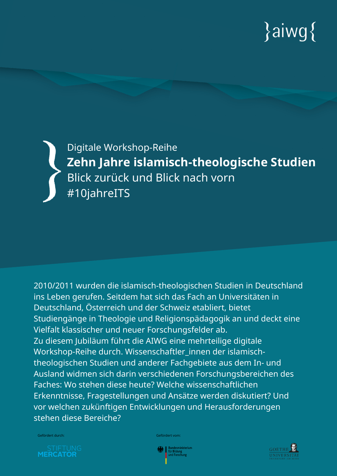# $\{aiwg\}$

Digitale Workshop-Reihe **Zehn Jahre islamisch-theologische Studien** Blick zurück und Blick nach vorn #10jahreITS

2010/2011 wurden die islamisch-theologischen Studien in Deutschland ins Leben gerufen. Seitdem hat sich das Fach an Universitäten in Deutschland, Österreich und der Schweiz etabliert, bietet Studiengänge in Theologie und Religionspädagogik an und deckt eine Vielfalt klassischer und neuer Forschungsfelder ab. Zu diesem Jubiläum führt die AIWG eine mehrteilige digitale Workshop-Reihe durch. Wissenschaftler\_innen der islamischtheologischen Studien und anderer Fachgebiete aus dem In- und Ausland widmen sich darin verschiedenen Forschungsbereichen des Faches: Wo stehen diese heute? Welche wissenschaftlichen Erkenntnisse, Fragestellungen und Ansätze werden diskutiert? Und vor welchen zukünftigen Entwicklungen und Herausforderungen stehen diese Bereiche?

**MERCATOR** 

Gefördert durch: Gefördert vom:



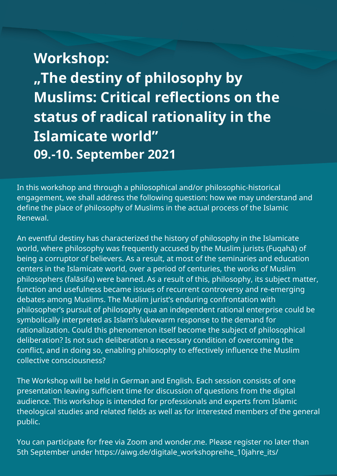## **Workshop: "The destiny of philosophy by Muslims: Critical reflections on the status of radical rationality in the Islamicate world" 09.-10. September 2021**

In this workshop and through a philosophical and/or philosophic-historical engagement, we shall address the following question: how we may understand and define the place of philosophy of Muslims in the actual process of the Islamic Renewal.

An eventful destiny has characterized the history of philosophy in the Islamicate world, where philosophy was frequently accused by the Muslim jurists (Fuqahā) of being a corruptor of believers. As a result, at most of the seminaries and education centers in the Islamicate world, over a period of centuries, the works of Muslim philosophers (falāsifa) were banned. As a result of this, philosophy, its subject matter, function and usefulness became issues of recurrent controversy and re-emerging debates among Muslims. The Muslim jurist's enduring confrontation with philosopher's pursuit of philosophy qua an independent rational enterprise could be symbolically interpreted as Islam's lukewarm response to the demand for rationalization. Could this phenomenon itself become the subject of philosophical deliberation? Is not such deliberation a necessary condition of overcoming the conflict, and in doing so, enabling philosophy to effectively influence the Muslim collective consciousness?

The Workshop will be held in German and English. Each session consists of one presentation leaving sufficient time for discussion of questions from the digital audience. This workshop is intended for professionals and experts from Islamic theological studies and related fields as well as for interested members of the general public.

You can participate for free via Zoom and wonder.me. Please register no later than 5th September under [https://aiwg.de/digitale\\_workshopreihe\\_10jahre\\_its/](https://aiwg.de/digitale_workshopreihe_10jahre_its/)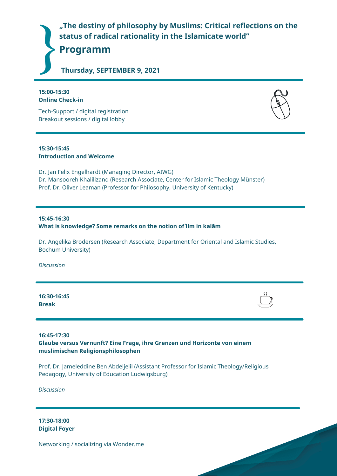**"The destiny of philosophy by Muslims: Critical reflections on the status of radical rationality in the Islamicate world"**

**Programm**

**Thursday, SEPTEMBER 9, 2021**

#### **15:00-15:30 Online Check-in**

Tech-Support / digital registration Breakout sessions / digital lobby

#### **15:30-15:45 Introduction and Welcome**

Dr. Jan Felix Engelhardt (Managing Director, AIWG) Dr. Mansooreh Khalilizand (Research Associate, Center for Islamic Theology Münster) Prof. Dr. Oliver Leaman (Professor for Philosophy, University of Kentucky)

#### **15:45-16:30 What is knowledge? Some remarks on the notion of ʿilm in kalām**

Dr. Angelika Brodersen (Research Associate, Department for Oriental and Islamic Studies, Bochum University)

*Discussion*

**16:30-16:45 Break**

**16:45-17:30 Glaube versus Vernunft? Eine Frage, ihre Grenzen und Horizonte von einem muslimischen Religionsphilosophen**

Prof. Dr. Jameleddine Ben Abdeljelil (Assistant Professor for Islamic Theology/Religious Pedagogy, University of Education Ludwigsburg)

*Discussion*

**17:30-18:00 Digital Foyer**

Networking / socializing via Wonder.me



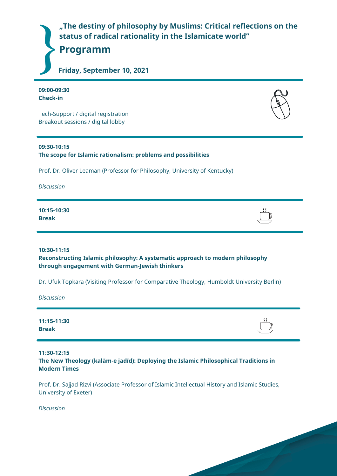

**09:00-09:30 Check-in**

Tech-Support / digital registration Breakout sessions / digital lobby

#### **09:30-10:15**

**The scope for Islamic rationalism: problems and possibilities**

Prof. Dr. Oliver Leaman (Professor for Philosophy, University of Kentucky)

*Discussion*

**10:15-10:30 Break**

**10:30-11:15**

**Reconstructing Islamic philosophy: A systematic approach to modern philosophy through engagement with German-Jewish thinkers**

Dr. Ufuk Topkara (Visiting Professor for Comparative Theology, Humboldt University Berlin)

*Discussion*

**11:15-11:30 Break**

**11:30-12:15 The New Theology (kalām-e jadīd): Deploying the Islamic Philosophical Traditions in Modern Times**

Prof. Dr. Sajjad Rizvi (Associate Professor of Islamic Intellectual History and Islamic Studies, University of Exeter)

*Discussion*



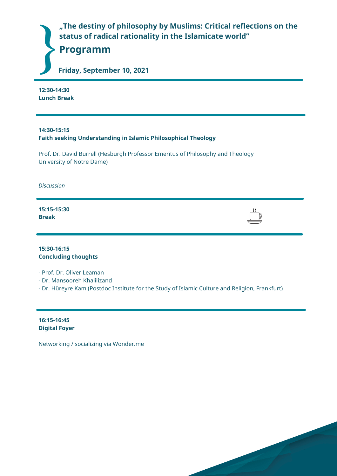**"The destiny of philosophy by Muslims: Critical reflections on the status of radical rationality in the Islamicate world"**

**Programm**

**Friday, September 10, 2021**

**12:30-14:30 Lunch Break**

**14:30-15:15 Faith seeking Understanding in Islamic Philosophical Theology**

Prof. Dr. David Burrell (Hesburgh Professor Emeritus of Philosophy and Theology University of Notre Dame)

*Discussion*

**15:15-15:30 Break**

**15:30-16:15 Concluding thoughts**

- Prof. Dr. Oliver Leaman

- Dr. Mansooreh Khalilizand

- Dr. Hüreyre Kam (Postdoc Institute for the Study of Islamic Culture and Religion, Frankfurt)

**16:15-16:45 Digital Foyer**

Networking / socializing via Wonder.me